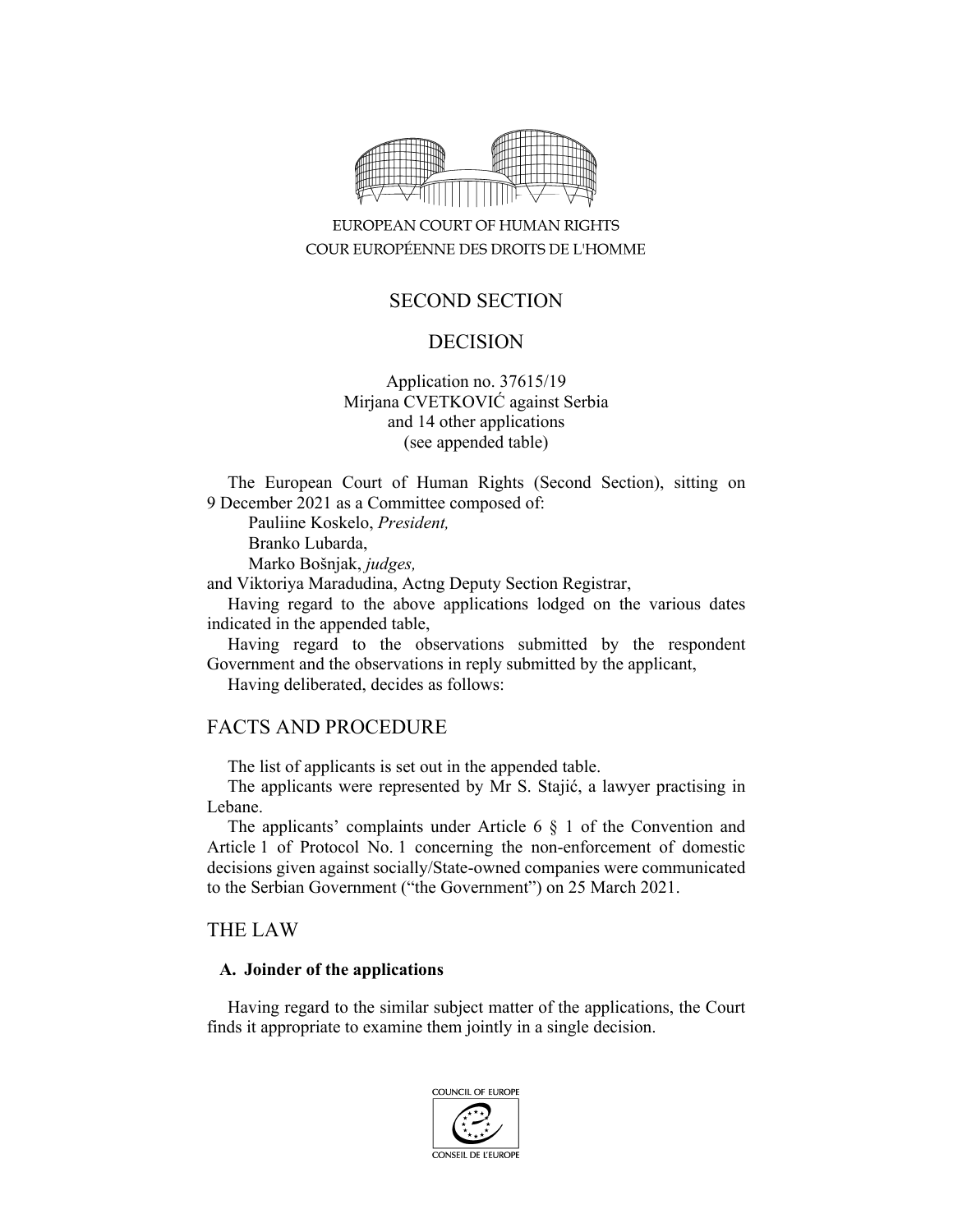

# EUROPEAN COURT OF HUMAN RIGHTS COUR EUROPÉENNE DES DROITS DE L'HOMME

## SECOND SECTION

### DECISION

### Application no. 37615/19 Mirjana CVETKOVIĆ against Serbia and 14 other applications (see appended table)

The European Court of Human Rights (Second Section), sitting on 9 December 2021 as a Committee composed of:

Pauliine Koskelo, *President,* 

Branko Lubarda,

Marko Bošnjak, *judges,* 

and Viktoriya Maradudina, Actng Deputy Section Registrar,

Having regard to the above applications lodged on the various dates indicated in the appended table,

Having regard to the observations submitted by the respondent Government and the observations in reply submitted by the applicant,

Having deliberated, decides as follows:

### FACTS AND PROCEDURE

The list of applicants is set out in the appended table.

The applicants were represented by Mr S. Stajić, a lawyer practising in Lebane.

The applicants' complaints under Article 6 § 1 of the Convention and Article 1 of Protocol No. 1 concerning the non-enforcement of domestic decisions given against socially/State-owned companies were communicated to the Serbian Government ("the Government") on 25 March 2021.

### THE LAW

#### **A. Joinder of the applications**

Having regard to the similar subject matter of the applications, the Court finds it appropriate to examine them jointly in a single decision.

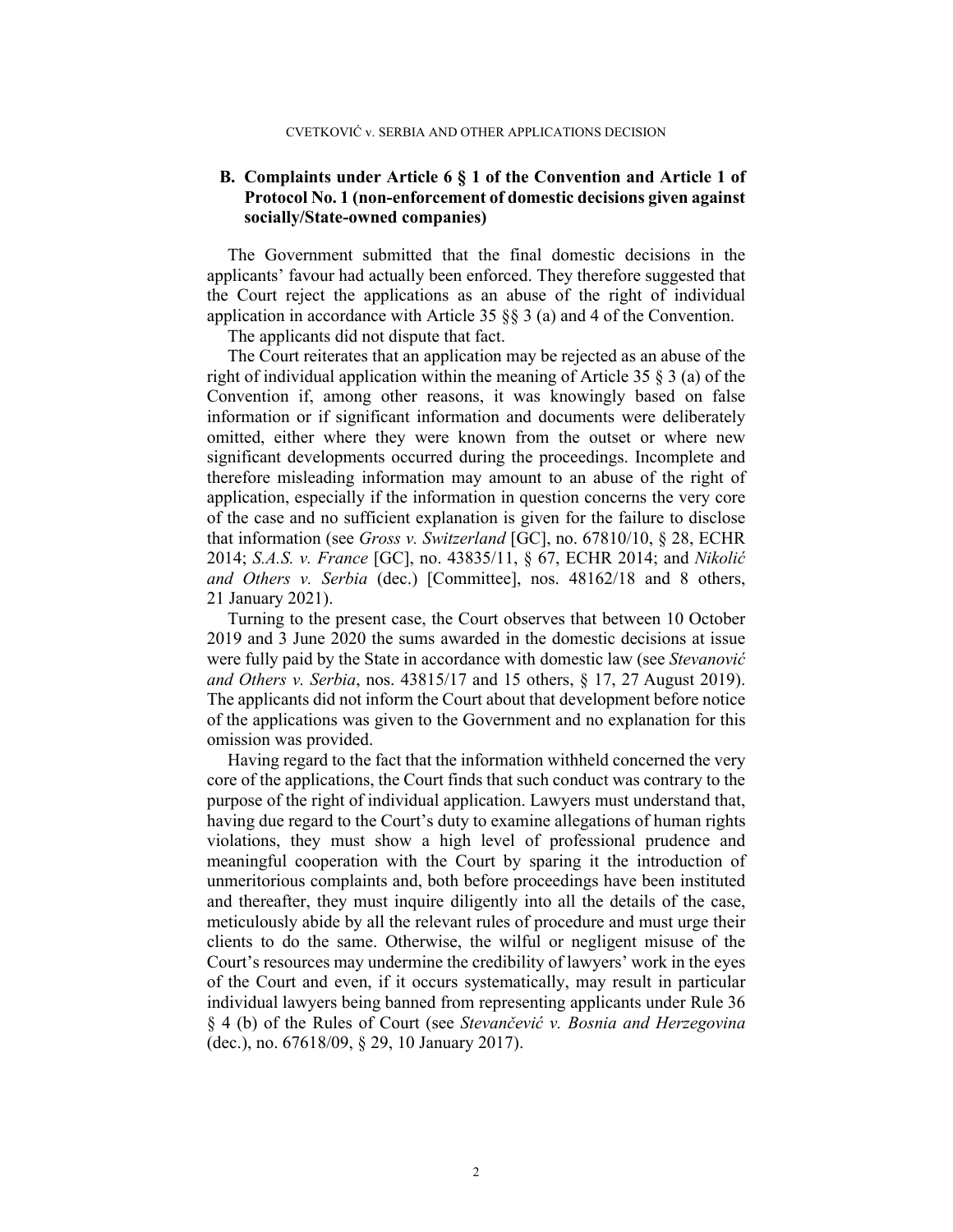#### **B. Complaints under Article 6 § 1 of the Convention and Article 1 of Protocol No. 1 (non-enforcement of domestic decisions given against socially/State-owned companies)**

The Government submitted that the final domestic decisions in the applicants' favour had actually been enforced. They therefore suggested that the Court reject the applications as an abuse of the right of individual application in accordance with Article 35  $\S$  3 (a) and 4 of the Convention.

The applicants did not dispute that fact.

The Court reiterates that an application may be rejected as an abuse of the right of individual application within the meaning of Article 35 § 3 (a) of the Convention if, among other reasons, it was knowingly based on false information or if significant information and documents were deliberately omitted, either where they were known from the outset or where new significant developments occurred during the proceedings. Incomplete and therefore misleading information may amount to an abuse of the right of application, especially if the information in question concerns the very core of the case and no sufficient explanation is given for the failure to disclose that information (see *Gross v. Switzerland* [GC], no. 67810/10, § 28, ECHR 2014; *S.A.S. v. France* [GC], no. 43835/11, § 67, ECHR 2014; and *Nikolić and Others v. Serbia* (dec.) [Committee], nos. 48162/18 and 8 others, 21 January 2021).

Turning to the present case, the Court observes that between 10 October 2019 and 3 June 2020 the sums awarded in the domestic decisions at issue were fully paid by the State in accordance with domestic law (see *Stevanović and Others v. Serbia*, nos. 43815/17 and 15 others, § 17, 27 August 2019). The applicants did not inform the Court about that development before notice of the applications was given to the Government and no explanation for this omission was provided.

Having regard to the fact that the information withheld concerned the very core of the applications, the Court finds that such conduct was contrary to the purpose of the right of individual application. Lawyers must understand that, having due regard to the Court's duty to examine allegations of human rights violations, they must show a high level of professional prudence and meaningful cooperation with the Court by sparing it the introduction of unmeritorious complaints and, both before proceedings have been instituted and thereafter, they must inquire diligently into all the details of the case, meticulously abide by all the relevant rules of procedure and must urge their clients to do the same. Otherwise, the wilful or negligent misuse of the Court's resources may undermine the credibility of lawyers' work in the eyes of the Court and even, if it occurs systematically, may result in particular individual lawyers being banned from representing applicants under Rule 36 § 4 (b) of the Rules of Court (see *Stevančević v. Bosnia and Herzegovina* (dec.), no. 67618/09, § 29, 10 January 2017).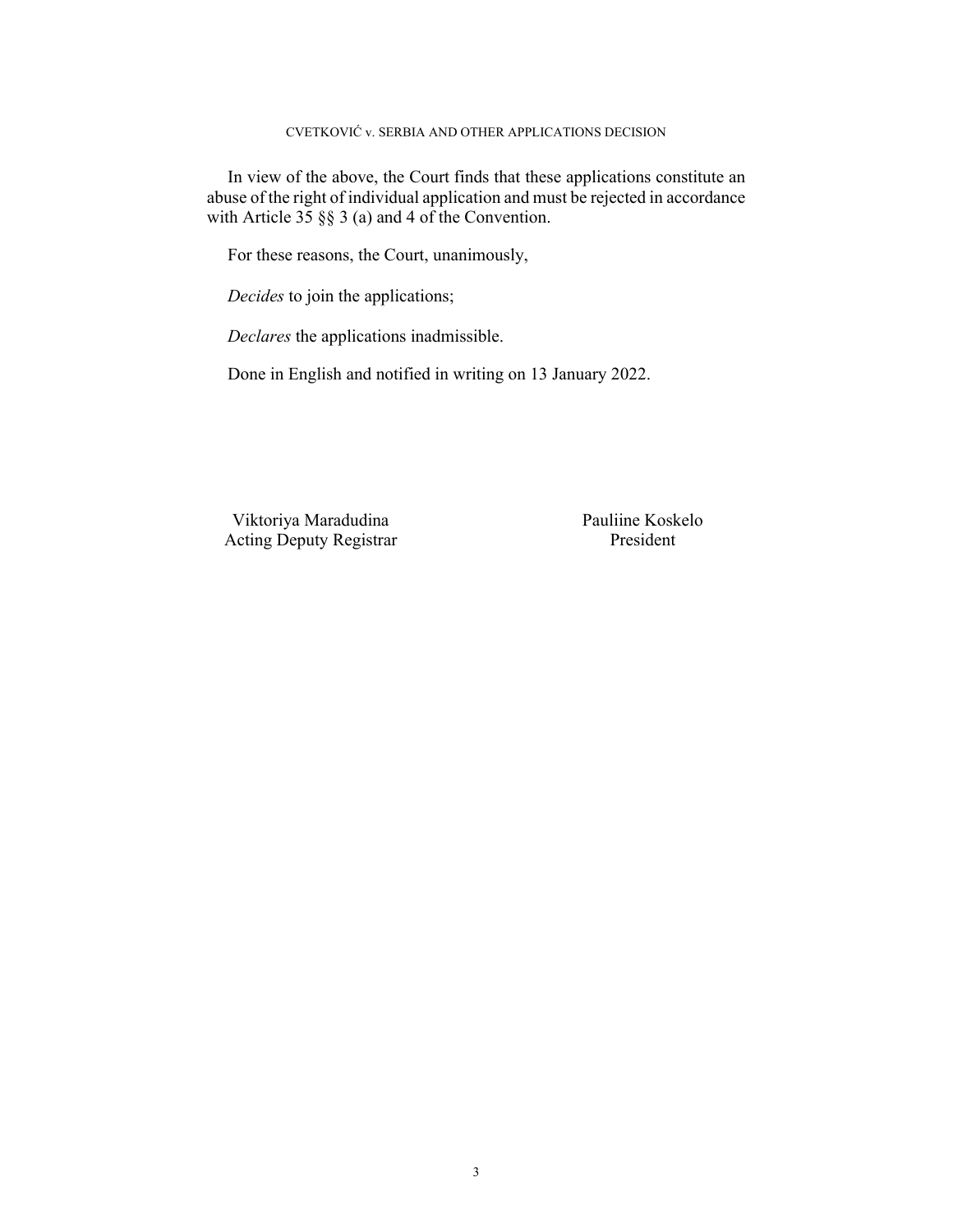#### CVETKOVIĆ v. SERBIA AND OTHER APPLICATIONS DECISION

In view of the above, the Court finds that these applications constitute an abuse of the right of individual application and must be rejected in accordance with Article  $35 \S$   $\S$  3 (a) and 4 of the Convention.

For these reasons, the Court, unanimously,

*Decides* to join the applications;

*Declares* the applications inadmissible.

Done in English and notified in writing on 13 January 2022.

Viktoriya Maradudina Pauliine Koskelo Acting Deputy Registrar President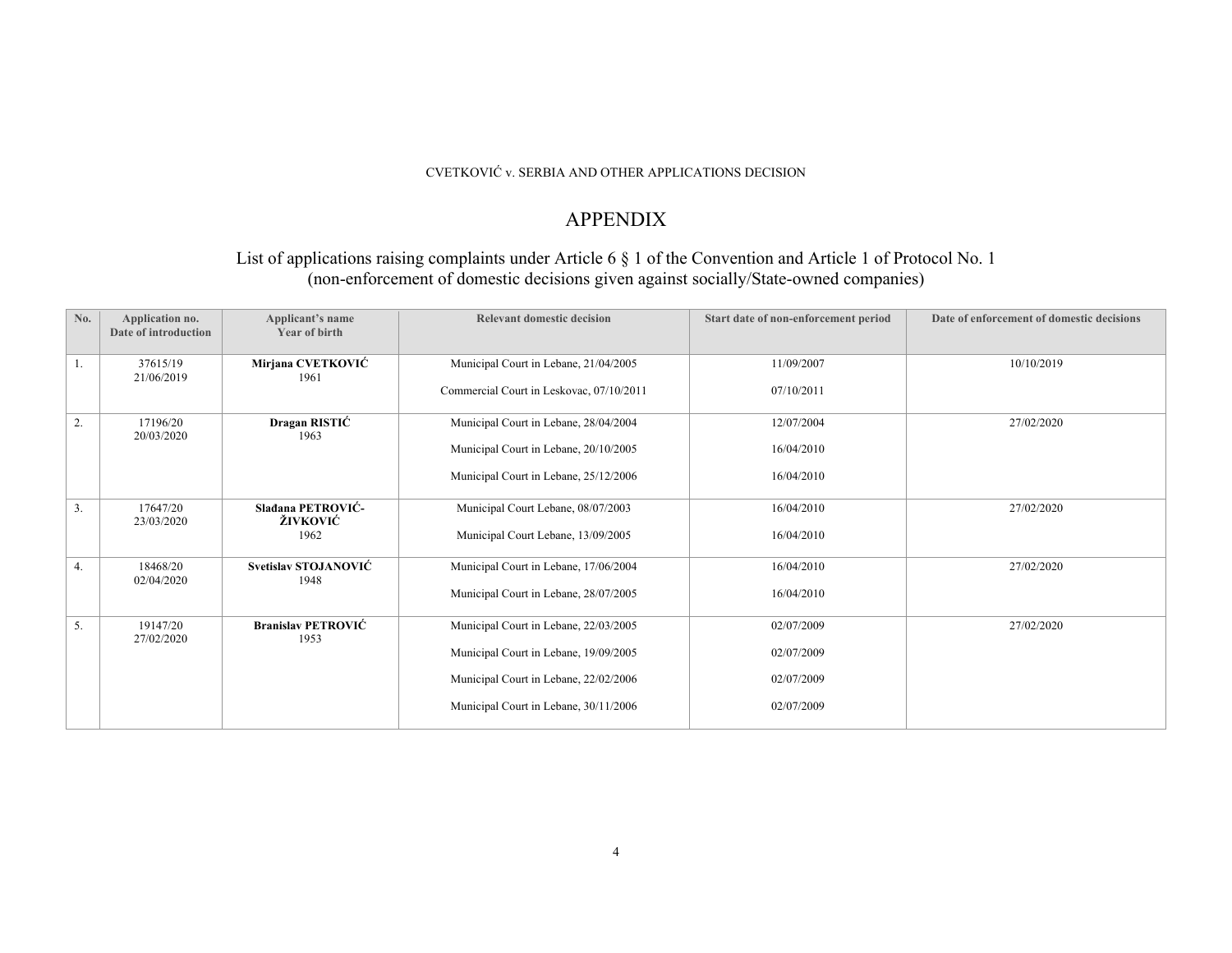#### CVETKOVIĆ v. SERBIA AND OTHER APPLICATIONS DECISION

## APPENDIX

### List of applications raising complaints under Article 6 § 1 of the Convention and Article 1 of Protocol No. 1 (non-enforcement of domestic decisions given against socially/State-owned companies)

| No.              | Application no.<br>Date of introduction | Applicant's name<br><b>Year of birth</b> | <b>Relevant domestic decision</b>        | Start date of non-enforcement period | Date of enforcement of domestic decisions |
|------------------|-----------------------------------------|------------------------------------------|------------------------------------------|--------------------------------------|-------------------------------------------|
| 1.               | 37615/19<br>21/06/2019                  | Mirjana CVETKOVIĆ<br>1961                | Municipal Court in Lebane, 21/04/2005    | 11/09/2007                           | 10/10/2019                                |
|                  |                                         |                                          | Commercial Court in Leskovac, 07/10/2011 | 07/10/2011                           |                                           |
| 2.               | 17196/20<br>20/03/2020                  | Dragan RISTIĆ<br>1963                    | Municipal Court in Lebane, 28/04/2004    | 12/07/2004                           | 27/02/2020                                |
|                  |                                         |                                          | Municipal Court in Lebane, 20/10/2005    | 16/04/2010                           |                                           |
|                  |                                         |                                          | Municipal Court in Lebane, 25/12/2006    | 16/04/2010                           |                                           |
| $\overline{3}$ . | 17647/20<br>23/03/2020                  | Sladana PETROVIĆ-<br>ŽIVKOVIĆ            | Municipal Court Lebane, 08/07/2003       | 16/04/2010                           | 27/02/2020                                |
|                  |                                         | 1962                                     | Municipal Court Lebane, 13/09/2005       | 16/04/2010                           |                                           |
| 4.               | 18468/20<br>02/04/2020                  | Svetislav STOJANOVIĆ<br>1948             | Municipal Court in Lebane, 17/06/2004    | 16/04/2010                           | 27/02/2020                                |
|                  |                                         |                                          | Municipal Court in Lebane, 28/07/2005    | 16/04/2010                           |                                           |
| 5.               | 19147/20<br>27/02/2020                  | <b>Branislav PETROVIĆ</b><br>1953        | Municipal Court in Lebane, 22/03/2005    | 02/07/2009                           | 27/02/2020                                |
|                  |                                         |                                          | Municipal Court in Lebane, 19/09/2005    | 02/07/2009                           |                                           |
|                  |                                         |                                          | Municipal Court in Lebane, 22/02/2006    | 02/07/2009                           |                                           |
|                  |                                         |                                          | Municipal Court in Lebane, 30/11/2006    | 02/07/2009                           |                                           |
|                  |                                         |                                          |                                          |                                      |                                           |